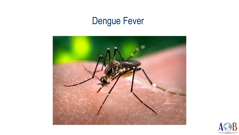# Dengue Fever



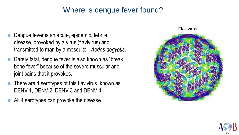#### Where is dengue fever found?

- Dengue fever is an acute, epidemic, febrile disease, provoked by a virus (flavivirus) and transmitted to man by a mosquito - *Aedes aegyptis*.
- Rarely fatal, dengue fever is also known as "break bone fever" because of the severe muscular and joint pains that it provokes.
- There are 4 serotypes of this flavivirus, known as DENV 1, DENV 2, DENV 3 and DENV 4.
- All 4 serotypes can provoke the disease.

#### Flavivirus



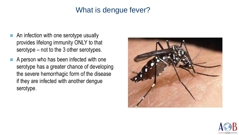#### What is dengue fever?

- An infection with one serotype usually provides lifelong immunity ONLY to that serotype – not to the 3 other serotypes.
- A person who has been infected with one serotype has a greater chance of developing the severe hemorrhagic form of the disease if they are infected with another dengue serotype.



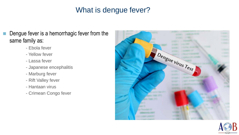#### What is dengue fever?

- **Dengue fever is a hemorrhagic fever from the** same family as:
	- Ebola fever
	- Yellow fever
	- Lassa fever
	- Japanese encephalitis
	- Marburg fever
	- Rift Valley fever
	- Hantaan virus
	- Crimean Congo fever



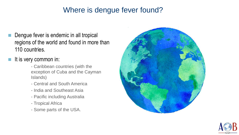#### Where is dengue fever found?

- Dengue fever is endemic in all tropical regions of the world and found in more than 110 countries.
- It is very common in:
	- Caribbean countries (with the exception of Cuba and the Cayman Islands)
	- Central and South America
	- India and Southeast Asia
	- Pacific including Australia
	- Tropical Africa
	- Some parts of the USA.



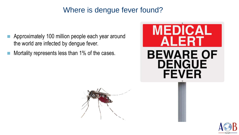#### Where is dengue fever found?

- Approximately 100 million people each year around the world are infected by dengue fever.
- Mortality represents less than 1% of the cases.





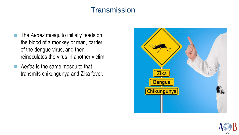### **Transmission**

- **The Aedes mosquito initially feeds on** the blood of a monkey or man, carrier of the dengue virus, and then reinoculates the virus in another victim.
- Aedes is the same mosquito that transmits chikungunya and Zika fever.



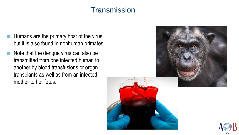#### **Transmission**

- $\blacksquare$  Humans are the primary host of the virus but it is also found in nonhuman primates.
- $\blacksquare$  Note that the dengue virus can also be transmitted from one infected human to another by blood transfusions or organ transplants as well as from an infected mother to her fetus.



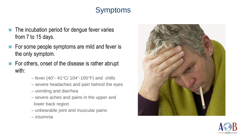# Symptoms

- $\blacksquare$  The incubation period for dengue fever varies from 7 to 15 days.
- For some people symptoms are mild and fever is the only symptom.
- $\blacksquare$  For others, onset of the disease is rather abrupt with:
	- fever (40 $\degree$  41 $\degree$ C/ 104 $\degree$ -105 $\degree$ F) and chills
	- severe headaches and pain behind the eyes
	- vomiting and diarrhea
	- severe aches and pains in the upper and lower back region
	- unbearable joint and muscular pains
	- insomnia



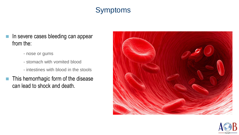# Symptoms

- In severe cases bleeding can appear from the:
	- nose or gums
	- stomach with vomited blood
	- intestines with blood in the stools
- $\blacksquare$  This hemorrhagic form of the disease can lead to shock and death.



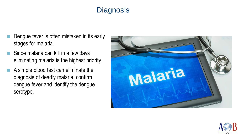# **Diagnosis**

- Dengue fever is often mistaken in its early stages for malaria.
- Since malaria can kill in a few days eliminating malaria is the highest priority.
- A simple blood test can eliminate the diagnosis of deadly malaria, confirm dengue fever and identify the dengue serotype.



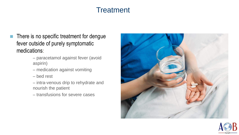### **Treatment**

- **There is no specific treatment for dengue** fever outside of purely symptomatic medications:
	- paracetamol against fever (avoid aspirin)
	- medication against vomiting
	- bed rest
	- intra-venous drip to rehydrate and nourish the patient
	- transfusions for severe cases



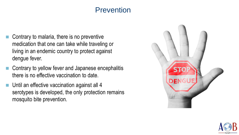#### **Prevention**

- Contrary to malaria, there is no preventive medication that one can take while traveling or living in an endemic country to protect against dengue fever.
- Contrary to yellow fever and Japanese encephalitis there is no effective vaccination to date.
- Until an effective vaccination against all 4 serotypes is developed, the only protection remains mosquito bite prevention.



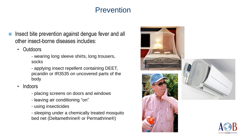### Prevention

- Insect bite prevention against dengue fever and all other insect-borne diseases includes:
	- Outdoors
		- wearing long sleeve shirts, long trousers, socks
		- applying insect repellent containing DEET, picaridin or IR3535 on uncovered parts of the body
	- Indoors
		- placing screens on doors and windows
		- leaving air conditioning "on"
		- using insecticides
		- sleeping under a chemically treated mosquito bed net (Deltamethrine® or Permathrine®)